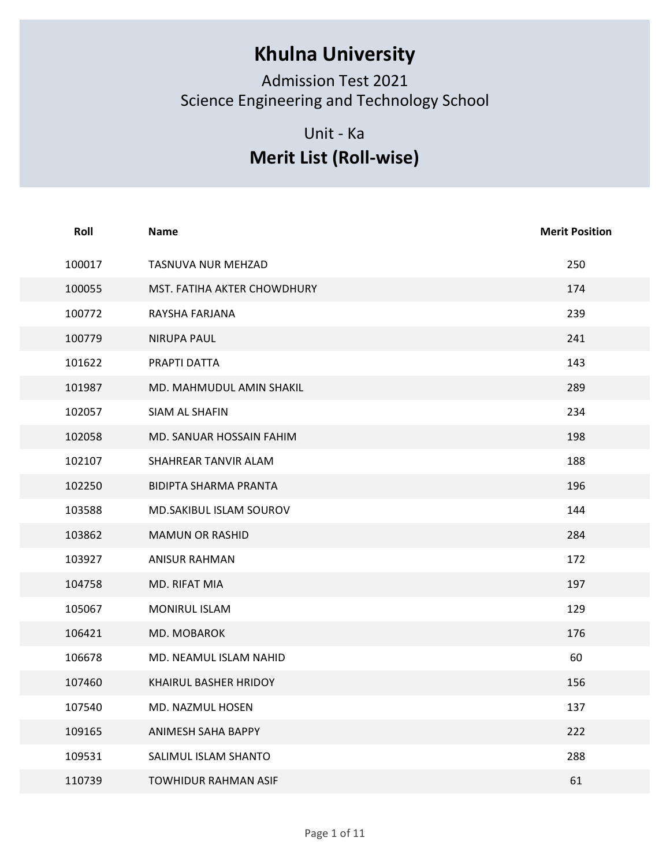## Khulna University

## Unit - Ka Merit List (Roll-wise)

|        | <b>Khulna University</b><br><b>Admission Test 2021</b><br>Science Engineering and Technology School<br>Unit - Ka<br><b>Merit List (Roll-wise)</b> |                       |
|--------|---------------------------------------------------------------------------------------------------------------------------------------------------|-----------------------|
| Roll   | <b>Name</b>                                                                                                                                       | <b>Merit Position</b> |
| 100017 | TASNUVA NUR MEHZAD                                                                                                                                | 250                   |
| 100055 | MST. FATIHA AKTER CHOWDHURY                                                                                                                       | 174                   |
| 100772 | RAYSHA FARJANA                                                                                                                                    | 239                   |
| 100779 | <b>NIRUPA PAUL</b>                                                                                                                                | 241                   |
| 101622 | PRAPTI DATTA                                                                                                                                      | 143                   |
| 101987 | MD. MAHMUDUL AMIN SHAKIL                                                                                                                          | 289                   |
| 102057 | SIAM AL SHAFIN                                                                                                                                    | 234                   |
| 102058 | MD. SANUAR HOSSAIN FAHIM                                                                                                                          | 198                   |
| 102107 | SHAHREAR TANVIR ALAM                                                                                                                              | 188                   |
| 102250 | BIDIPTA SHARMA PRANTA                                                                                                                             | 196                   |
| 103588 | MD.SAKIBUL ISLAM SOUROV                                                                                                                           | 144                   |
| 103862 | <b>MAMUN OR RASHID</b>                                                                                                                            | 284                   |
| 103927 | <b>ANISUR RAHMAN</b>                                                                                                                              | 172                   |
| 104758 | MD. RIFAT MIA                                                                                                                                     | 197                   |
| 105067 | MONIRUL ISLAM                                                                                                                                     | 129                   |
| 106421 | MD. MOBAROK                                                                                                                                       | 176                   |
| 106678 | MD. NEAMUL ISLAM NAHID                                                                                                                            | 60                    |
| 107460 | KHAIRUL BASHER HRIDOY                                                                                                                             | 156                   |
| 107540 | MD. NAZMUL HOSEN                                                                                                                                  | 137                   |
| 109165 | ANIMESH SAHA BAPPY                                                                                                                                | 222                   |
| 109531 | SALIMUL ISLAM SHANTO                                                                                                                              | 288                   |
| 110739 | TOWHIDUR RAHMAN ASIF                                                                                                                              | 61                    |
|        | Page 1 of 11                                                                                                                                      |                       |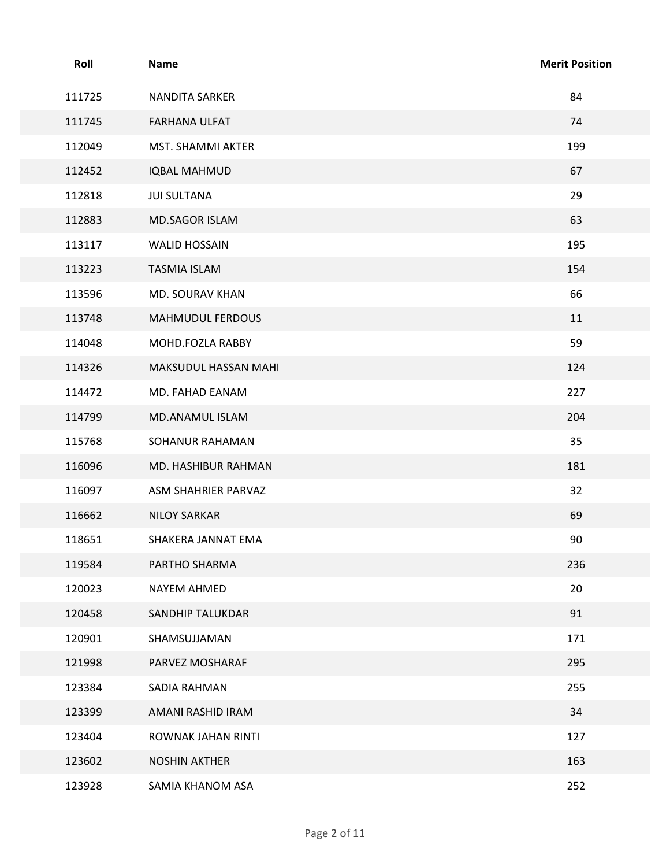| Roll   | Name                 | <b>Merit Position</b> |  |
|--------|----------------------|-----------------------|--|
| 111725 | NANDITA SARKER       | 84                    |  |
| 111745 | FARHANA ULFAT        | 74                    |  |
| 112049 | MST. SHAMMI AKTER    | 199                   |  |
| 112452 | <b>IQBAL MAHMUD</b>  | 67                    |  |
| 112818 | <b>JUI SULTANA</b>   | 29                    |  |
| 112883 | MD.SAGOR ISLAM       | 63                    |  |
| 113117 | <b>WALID HOSSAIN</b> | 195                   |  |
| 113223 | <b>TASMIA ISLAM</b>  | 154                   |  |
| 113596 | MD. SOURAV KHAN      | 66                    |  |
| 113748 | MAHMUDUL FERDOUS     | 11                    |  |
| 114048 | MOHD.FOZLA RABBY     | 59                    |  |
| 114326 | MAKSUDUL HASSAN MAHI | 124                   |  |
| 114472 | MD. FAHAD EANAM      | 227                   |  |
| 114799 | MD.ANAMUL ISLAM      | 204                   |  |
| 115768 | SOHANUR RAHAMAN      | 35                    |  |
| 116096 | MD. HASHIBUR RAHMAN  | 181                   |  |
| 116097 | ASM SHAHRIER PARVAZ  | 32                    |  |
| 116662 | <b>NILOY SARKAR</b>  | 69                    |  |
| 118651 | SHAKERA JANNAT EMA   | 90                    |  |
| 119584 | PARTHO SHARMA        | 236                   |  |
| 120023 | NAYEM AHMED          | 20                    |  |
| 120458 | SANDHIP TALUKDAR     | 91                    |  |
| 120901 | SHAMSUJJAMAN         | 171                   |  |
| 121998 | PARVEZ MOSHARAF      | 295                   |  |
| 123384 | SADIA RAHMAN         | 255                   |  |
| 123399 | AMANI RASHID IRAM    | 34                    |  |
| 123404 | ROWNAK JAHAN RINTI   | 127                   |  |
| 123602 | <b>NOSHIN AKTHER</b> | 163                   |  |
| 123928 | SAMIA KHANOM ASA     | 252                   |  |
|        |                      |                       |  |
|        |                      | Page 2 of 11          |  |
|        |                      |                       |  |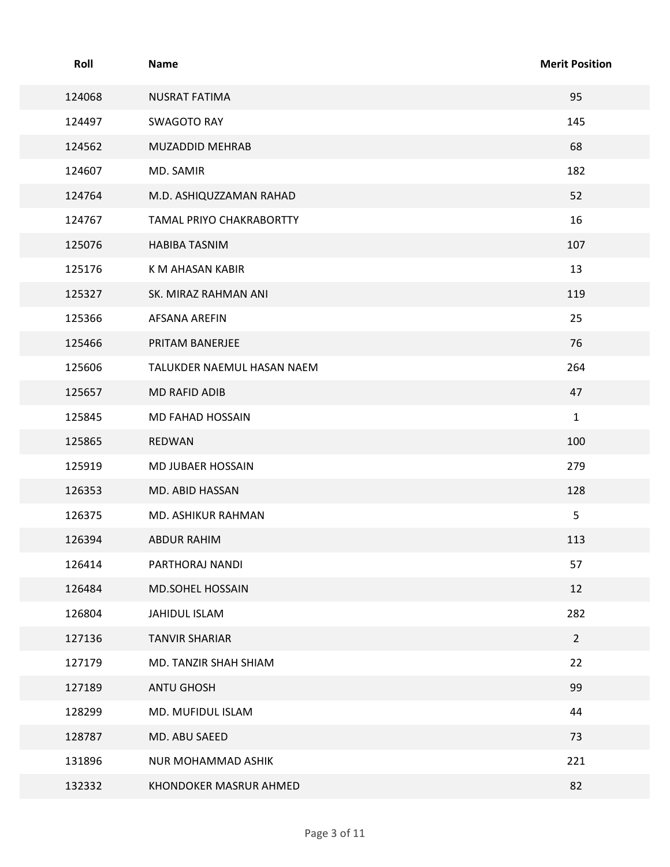| Roll   | <b>Name</b>                | <b>Merit Position</b> |
|--------|----------------------------|-----------------------|
| 124068 | <b>NUSRAT FATIMA</b>       | 95                    |
| 124497 | <b>SWAGOTO RAY</b>         | 145                   |
| 124562 | MUZADDID MEHRAB            | 68                    |
| 124607 | MD. SAMIR                  | 182                   |
| 124764 | M.D. ASHIQUZZAMAN RAHAD    | 52                    |
| 124767 | TAMAL PRIYO CHAKRABORTTY   | 16                    |
| 125076 | <b>HABIBA TASNIM</b>       | 107                   |
| 125176 | K M AHASAN KABIR           | 13                    |
| 125327 | SK. MIRAZ RAHMAN ANI       | 119                   |
| 125366 | AFSANA AREFIN              | 25                    |
| 125466 | PRITAM BANERJEE            | 76                    |
| 125606 | TALUKDER NAEMUL HASAN NAEM | 264                   |
| 125657 | MD RAFID ADIB              | 47                    |
| 125845 | MD FAHAD HOSSAIN           | $\mathbf{1}$          |
| 125865 | REDWAN                     | 100                   |
| 125919 | MD JUBAER HOSSAIN          | 279                   |
| 126353 | MD. ABID HASSAN            | 128                   |
| 126375 | MD. ASHIKUR RAHMAN         | 5                     |
| 126394 | ABDUR RAHIM                | 113                   |
| 126414 | PARTHORAJ NANDI            | 57                    |
| 126484 | MD.SOHEL HOSSAIN           | 12                    |
| 126804 | JAHIDUL ISLAM              | 282                   |
| 127136 | <b>TANVIR SHARIAR</b>      | $\overline{2}$        |
| 127179 | MD. TANZIR SHAH SHIAM      | 22                    |
| 127189 | ANTU GHOSH                 | 99                    |
| 128299 | MD. MUFIDUL ISLAM          | 44                    |
| 128787 | MD. ABU SAEED              | 73                    |
| 131896 | NUR MOHAMMAD ASHIK         | 221                   |
| 132332 | KHONDOKER MASRUR AHMED     | 82                    |
|        | Page 3 of 11               |                       |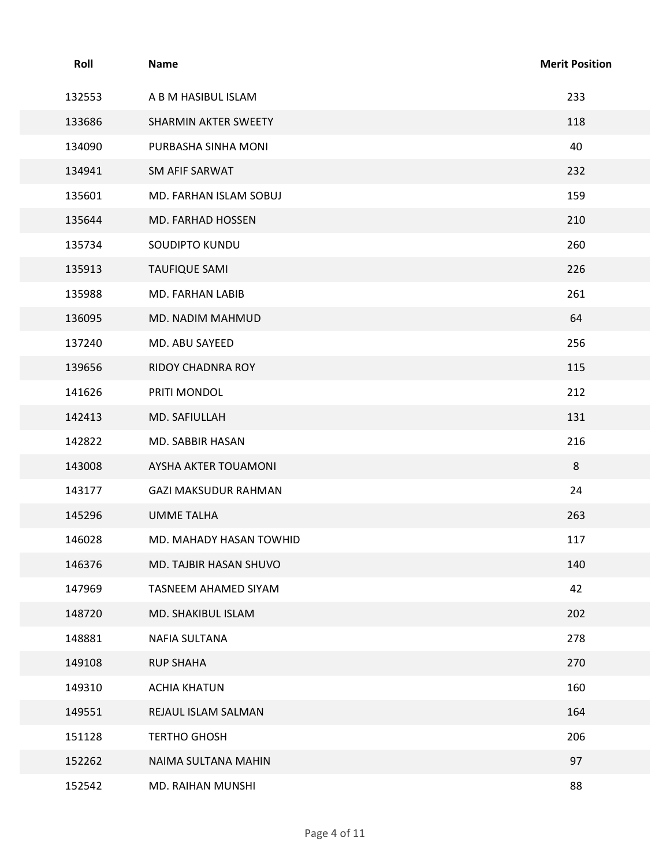| Roll             | <b>Name</b>                              | <b>Merit Position</b> |
|------------------|------------------------------------------|-----------------------|
| 132553           | A B M HASIBUL ISLAM                      | 233                   |
| 133686           | SHARMIN AKTER SWEETY                     | 118                   |
| 134090           | PURBASHA SINHA MONI                      | 40                    |
| 134941           | SM AFIF SARWAT                           | 232                   |
| 135601           | MD. FARHAN ISLAM SOBUJ                   | 159                   |
| 135644           | MD. FARHAD HOSSEN                        | 210                   |
| 135734           | SOUDIPTO KUNDU                           | 260<br>226            |
| 135913<br>135988 | <b>TAUFIQUE SAMI</b><br>MD. FARHAN LABIB | 261                   |
| 136095           | MD. NADIM MAHMUD                         | 64                    |
| 137240           | MD. ABU SAYEED                           | 256                   |
| 139656           | RIDOY CHADNRA ROY                        | 115                   |
| 141626           | PRITI MONDOL                             | 212                   |
| 142413           | MD. SAFIULLAH                            | 131                   |
| 142822           | MD. SABBIR HASAN                         | 216                   |
| 143008           | AYSHA AKTER TOUAMONI                     | 8                     |
| 143177           | <b>GAZI MAKSUDUR RAHMAN</b>              | 24                    |
| 145296           | <b>UMME TALHA</b>                        | 263                   |
| 146028           | MD. MAHADY HASAN TOWHID                  | 117                   |
| 146376           | MD. TAJBIR HASAN SHUVO                   | 140                   |
| 147969           | TASNEEM AHAMED SIYAM                     | 42                    |
| 148720           | MD. SHAKIBUL ISLAM                       | 202                   |
| 148881           | NAFIA SULTANA                            | 278                   |
| 149108           | <b>RUP SHAHA</b>                         | 270                   |
| 149310           | <b>ACHIA KHATUN</b>                      | 160                   |
| 149551           | REJAUL ISLAM SALMAN                      | 164                   |
| 151128           | <b>TERTHO GHOSH</b>                      | 206                   |
| 152262           | NAIMA SULTANA MAHIN                      | 97                    |
| 152542           | MD. RAIHAN MUNSHI                        | 88                    |
|                  | Page 4 of 11                             |                       |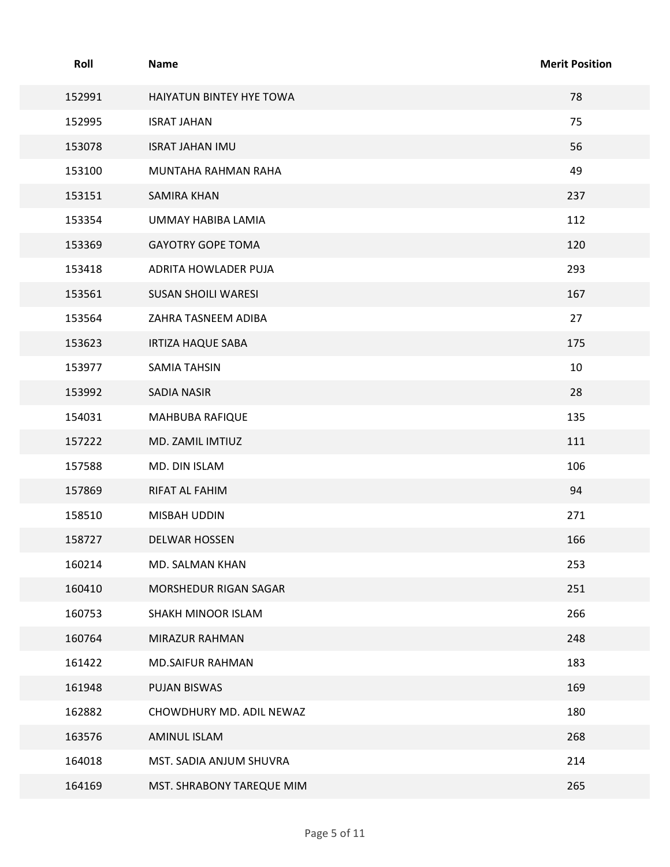| Roll   | <b>Name</b>                | <b>Merit Position</b> |
|--------|----------------------------|-----------------------|
| 152991 | HAIYATUN BINTEY HYE TOWA   | 78                    |
| 152995 | <b>ISRAT JAHAN</b>         | 75                    |
| 153078 | <b>ISRAT JAHAN IMU</b>     | 56                    |
| 153100 | MUNTAHA RAHMAN RAHA        | 49                    |
| 153151 | <b>SAMIRA KHAN</b>         | 237                   |
| 153354 | UMMAY HABIBA LAMIA         | 112                   |
| 153369 | <b>GAYOTRY GOPE TOMA</b>   | 120                   |
| 153418 | ADRITA HOWLADER PUJA       | 293                   |
| 153561 | <b>SUSAN SHOILI WARESI</b> | 167                   |
| 153564 | ZAHRA TASNEEM ADIBA        | 27                    |
| 153623 | <b>IRTIZA HAQUE SABA</b>   | 175                   |
| 153977 | <b>SAMIA TAHSIN</b>        | $10\,$                |
| 153992 | SADIA NASIR                | 28                    |
| 154031 | MAHBUBA RAFIQUE            | 135                   |
| 157222 | MD. ZAMIL IMTIUZ           | 111                   |
| 157588 | MD. DIN ISLAM              | 106                   |
| 157869 | RIFAT AL FAHIM             | 94                    |
| 158510 | MISBAH UDDIN               | 271                   |
| 158727 | DELWAR HOSSEN              | 166                   |
| 160214 | MD. SALMAN KHAN            | 253                   |
| 160410 | MORSHEDUR RIGAN SAGAR      | 251                   |
| 160753 | SHAKH MINOOR ISLAM         | 266                   |
| 160764 | MIRAZUR RAHMAN             | 248                   |
| 161422 | MD.SAIFUR RAHMAN           | 183                   |
| 161948 | PUJAN BISWAS               | 169                   |
| 162882 | CHOWDHURY MD. ADIL NEWAZ   | 180                   |
| 163576 | AMINUL ISLAM               | 268                   |
| 164018 | MST. SADIA ANJUM SHUVRA    | 214                   |
| 164169 | MST. SHRABONY TAREQUE MIM  | 265                   |
|        | Page 5 of 11               |                       |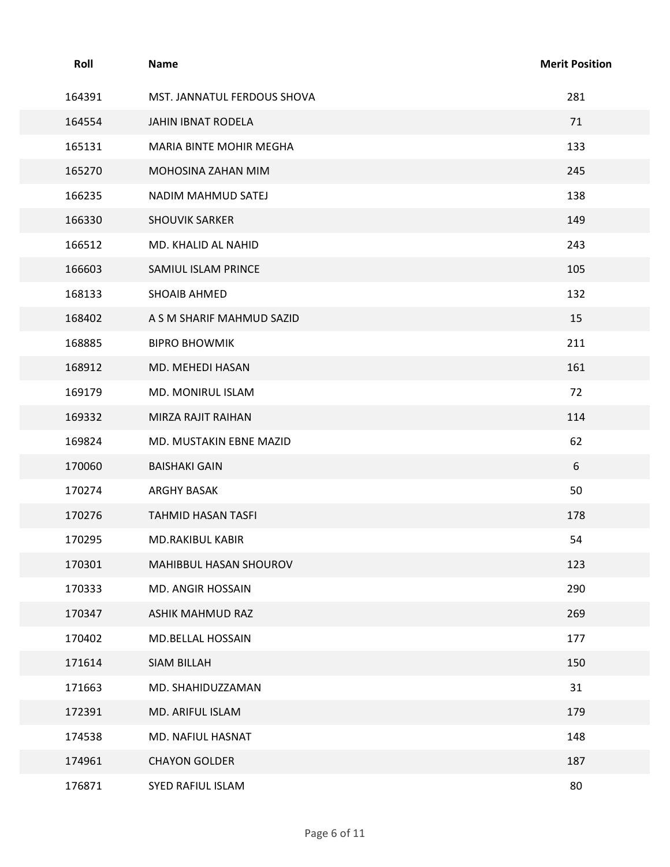| Roll   | Name                        | <b>Merit Position</b> |
|--------|-----------------------------|-----------------------|
| 164391 | MST. JANNATUL FERDOUS SHOVA | 281                   |
| 164554 | JAHIN IBNAT RODELA          | 71                    |
| 165131 | MARIA BINTE MOHIR MEGHA     | 133                   |
| 165270 | MOHOSINA ZAHAN MIM          | 245                   |
| 166235 | NADIM MAHMUD SATEJ          | 138                   |
| 166330 | <b>SHOUVIK SARKER</b>       | 149                   |
| 166512 | MD. KHALID AL NAHID         | 243                   |
| 166603 | SAMIUL ISLAM PRINCE         | 105                   |
| 168133 | SHOAIB AHMED                | 132                   |
| 168402 | A S M SHARIF MAHMUD SAZID   | 15                    |
| 168885 | <b>BIPRO BHOWMIK</b>        | 211                   |
| 168912 | MD. MEHEDI HASAN            | 161                   |
| 169179 | MD. MONIRUL ISLAM           | 72                    |
| 169332 | MIRZA RAJIT RAIHAN          | 114                   |
| 169824 | MD. MUSTAKIN EBNE MAZID     | 62                    |
| 170060 | <b>BAISHAKI GAIN</b>        | 6                     |
| 170274 | ARGHY BASAK                 | 50                    |
| 170276 | TAHMID HASAN TASFI          | 178                   |
| 170295 | MD.RAKIBUL KABIR            | 54                    |
| 170301 | MAHIBBUL HASAN SHOUROV      | 123                   |
| 170333 | MD. ANGIR HOSSAIN           | 290                   |
| 170347 | ASHIK MAHMUD RAZ            | 269                   |
| 170402 | MD.BELLAL HOSSAIN           | 177                   |
| 171614 | SIAM BILLAH                 | 150                   |
| 171663 | MD. SHAHIDUZZAMAN           | 31                    |
| 172391 | MD. ARIFUL ISLAM            | 179                   |
| 174538 | MD. NAFIUL HASNAT           | 148                   |
| 174961 | <b>CHAYON GOLDER</b>        | 187                   |
| 176871 | SYED RAFIUL ISLAM           | 80                    |
|        | Page 6 of 11                |                       |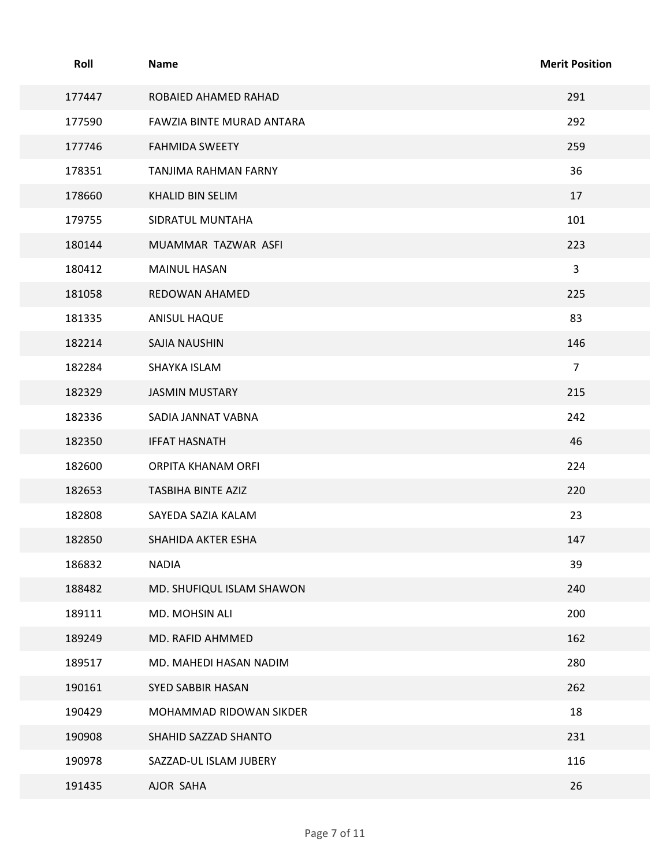| Roll   | Name                      | <b>Merit Position</b> |
|--------|---------------------------|-----------------------|
| 177447 | ROBAIED AHAMED RAHAD      | 291                   |
| 177590 | FAWZIA BINTE MURAD ANTARA | 292                   |
| 177746 | <b>FAHMIDA SWEETY</b>     | 259                   |
| 178351 | TANJIMA RAHMAN FARNY      | 36                    |
| 178660 | KHALID BIN SELIM          | 17                    |
| 179755 | SIDRATUL MUNTAHA          | 101                   |
| 180144 | MUAMMAR TAZWAR ASFI       | 223                   |
| 180412 | <b>MAINUL HASAN</b>       | 3                     |
| 181058 | REDOWAN AHAMED            | 225                   |
| 181335 | ANISUL HAQUE              | 83                    |
| 182214 | SAJIA NAUSHIN             | 146                   |
| 182284 | SHAYKA ISLAM              | $\overline{7}$        |
| 182329 | <b>JASMIN MUSTARY</b>     | 215                   |
| 182336 | SADIA JANNAT VABNA        | 242                   |
| 182350 | <b>IFFAT HASNATH</b>      | 46                    |
| 182600 | ORPITA KHANAM ORFI        | 224                   |
| 182653 | TASBIHA BINTE AZIZ        | 220                   |
| 182808 | SAYEDA SAZIA KALAM        | 23                    |
| 182850 | SHAHIDA AKTER ESHA        | 147                   |
| 186832 | <b>NADIA</b>              | 39                    |
| 188482 | MD. SHUFIQUL ISLAM SHAWON | 240                   |
| 189111 | MD. MOHSIN ALI            | 200                   |
| 189249 | MD. RAFID AHMMED          | 162                   |
| 189517 | MD. MAHEDI HASAN NADIM    | 280                   |
| 190161 | SYED SABBIR HASAN         | 262                   |
| 190429 | MOHAMMAD RIDOWAN SIKDER   | 18                    |
| 190908 | SHAHID SAZZAD SHANTO      | 231                   |
| 190978 | SAZZAD-UL ISLAM JUBERY    | 116                   |
| 191435 | AJOR SAHA                 | 26                    |
|        | Page 7 of 11              |                       |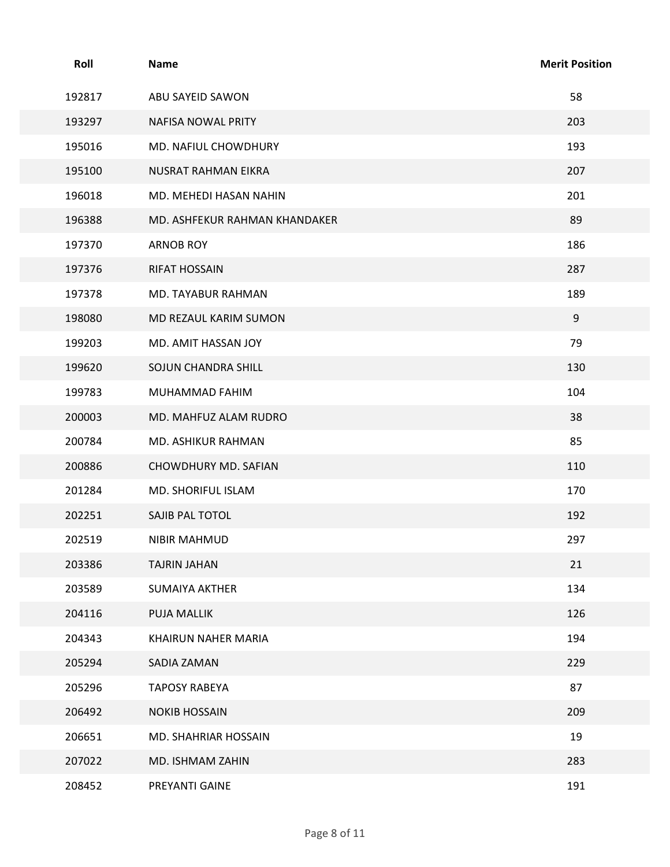| Roll   | <b>Name</b>                   | <b>Merit Position</b> |
|--------|-------------------------------|-----------------------|
| 192817 | ABU SAYEID SAWON              | 58                    |
| 193297 | NAFISA NOWAL PRITY            | 203                   |
| 195016 | MD. NAFIUL CHOWDHURY          | 193                   |
| 195100 | NUSRAT RAHMAN EIKRA           | 207                   |
| 196018 | MD. MEHEDI HASAN NAHIN        | 201                   |
| 196388 | MD. ASHFEKUR RAHMAN KHANDAKER | 89                    |
| 197370 | <b>ARNOB ROY</b>              | 186                   |
| 197376 | <b>RIFAT HOSSAIN</b>          | 287                   |
| 197378 | MD. TAYABUR RAHMAN            | 189                   |
| 198080 | MD REZAUL KARIM SUMON         | 9                     |
| 199203 | MD. AMIT HASSAN JOY           | 79                    |
| 199620 | SOJUN CHANDRA SHILL           | 130                   |
| 199783 | MUHAMMAD FAHIM                | 104                   |
| 200003 | MD. MAHFUZ ALAM RUDRO         | 38                    |
| 200784 | MD. ASHIKUR RAHMAN            | 85                    |
| 200886 | CHOWDHURY MD. SAFIAN          | 110                   |
| 201284 | MD. SHORIFUL ISLAM            | 170                   |
| 202251 | SAJIB PAL TOTOL               | 192                   |
| 202519 | NIBIR MAHMUD                  | 297                   |
| 203386 | TAJRIN JAHAN                  | 21                    |
| 203589 | <b>SUMAIYA AKTHER</b>         | 134                   |
| 204116 | PUJA MALLIK                   | 126                   |
| 204343 | KHAIRUN NAHER MARIA           | 194                   |
| 205294 | SADIA ZAMAN                   | 229                   |
| 205296 | <b>TAPOSY RABEYA</b>          | 87                    |
| 206492 | <b>NOKIB HOSSAIN</b>          | 209                   |
| 206651 | MD. SHAHRIAR HOSSAIN          | 19                    |
| 207022 | MD. ISHMAM ZAHIN              | 283                   |
| 208452 | PREYANTI GAINE                | 191                   |
|        | Page 8 of 11                  |                       |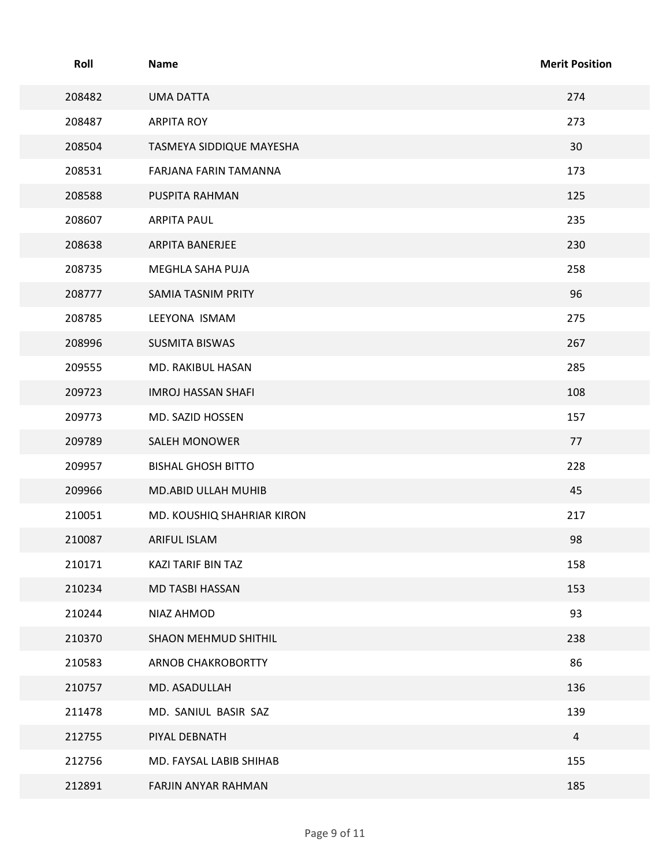| <b>Merit Position</b><br>274<br>273<br>30<br>173<br>125<br>235<br>230<br>258 |
|------------------------------------------------------------------------------|
|                                                                              |
|                                                                              |
|                                                                              |
|                                                                              |
|                                                                              |
|                                                                              |
|                                                                              |
|                                                                              |
|                                                                              |
|                                                                              |
|                                                                              |
| 96                                                                           |
| 275                                                                          |
| 267                                                                          |
| 285                                                                          |
| 108                                                                          |
| 157                                                                          |
| 77                                                                           |
| 228                                                                          |
| 45                                                                           |
| 217                                                                          |
| 98                                                                           |
| 158                                                                          |
| 153                                                                          |
| 93                                                                           |
| 238                                                                          |
| 86                                                                           |
| 136                                                                          |
| 139                                                                          |
| $\overline{4}$                                                               |
| 155                                                                          |
| 185                                                                          |
|                                                                              |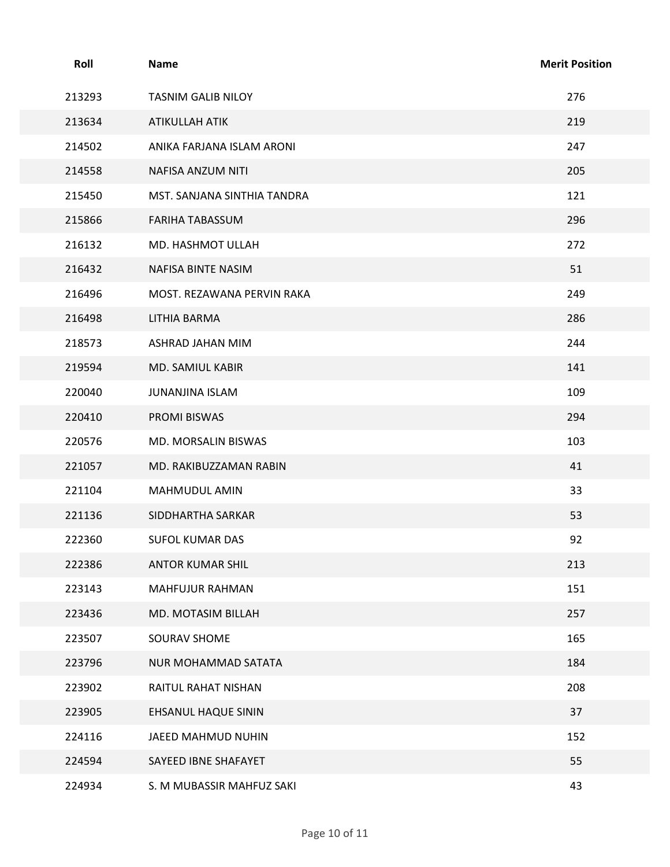| Roll   | <b>Name</b>                 | <b>Merit Position</b> |
|--------|-----------------------------|-----------------------|
| 213293 | <b>TASNIM GALIB NILOY</b>   | 276                   |
| 213634 | ATIKULLAH ATIK              | 219                   |
| 214502 | ANIKA FARJANA ISLAM ARONI   | 247                   |
| 214558 | NAFISA ANZUM NITI           | 205                   |
| 215450 | MST. SANJANA SINTHIA TANDRA | 121                   |
| 215866 | FARIHA TABASSUM             | 296                   |
| 216132 | MD. HASHMOT ULLAH           | 272                   |
| 216432 | NAFISA BINTE NASIM          | 51                    |
| 216496 | MOST. REZAWANA PERVIN RAKA  | 249                   |
| 216498 | LITHIA BARMA                | 286                   |
| 218573 | ASHRAD JAHAN MIM            | 244                   |
| 219594 | MD. SAMIUL KABIR            | 141                   |
| 220040 | JUNANJINA ISLAM             | 109                   |
| 220410 | PROMI BISWAS                | 294                   |
| 220576 | MD. MORSALIN BISWAS         | 103                   |
| 221057 | MD. RAKIBUZZAMAN RABIN      | 41                    |
| 221104 | MAHMUDUL AMIN               | 33                    |
| 221136 | SIDDHARTHA SARKAR           | 53                    |
| 222360 | SUFOL KUMAR DAS             | 92                    |
| 222386 | ANTOR KUMAR SHIL            | 213                   |
| 223143 | MAHFUJUR RAHMAN             | 151                   |
| 223436 | MD. MOTASIM BILLAH          | 257                   |
| 223507 | SOURAV SHOME                | 165                   |
| 223796 | NUR MOHAMMAD SATATA         | 184                   |
| 223902 | RAITUL RAHAT NISHAN         | 208                   |
| 223905 | EHSANUL HAQUE SININ         | 37                    |
| 224116 | JAEED MAHMUD NUHIN          | 152                   |
| 224594 | SAYEED IBNE SHAFAYET        | 55                    |
| 224934 | S. M MUBASSIR MAHFUZ SAKI   | 43                    |
|        |                             |                       |
|        | Page 10 of 11               |                       |
|        |                             |                       |